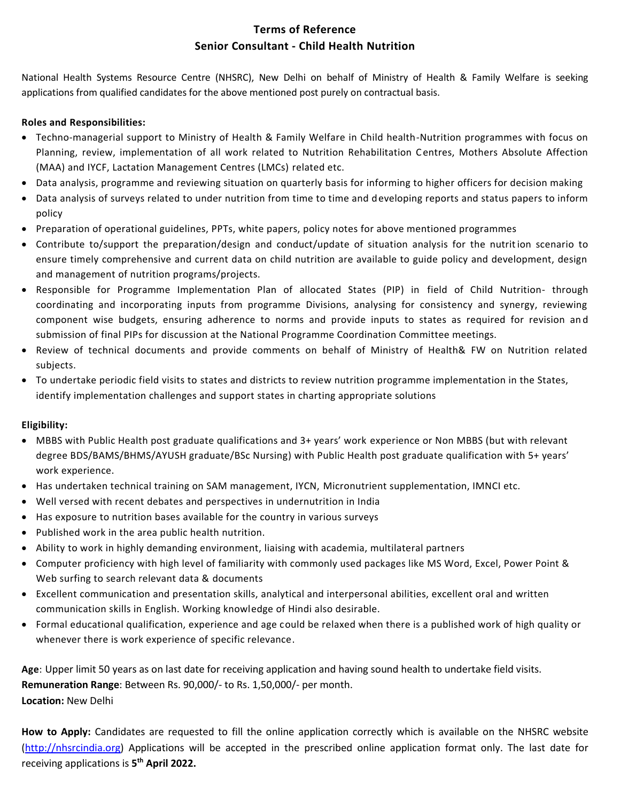## **Terms of Reference Senior Consultant - Child Health Nutrition**

National Health Systems Resource Centre (NHSRC), New Delhi on behalf of Ministry of Health & Family Welfare is seeking applications from qualified candidates for the above mentioned post purely on contractual basis.

#### **Roles and Responsibilities:**

- Techno-managerial support to Ministry of Health & Family Welfare in Child health-Nutrition programmes with focus on Planning, review, implementation of all work related to Nutrition Rehabilitation Centres, Mothers Absolute Affection (MAA) and IYCF, Lactation Management Centres (LMCs) related etc.
- Data analysis, programme and reviewing situation on quarterly basis for informing to higher officers for decision making
- Data analysis of surveys related to under nutrition from time to time and developing reports and status papers to inform policy
- Preparation of operational guidelines, PPTs, white papers, policy notes for above mentioned programmes
- Contribute to/support the preparation/design and conduct/update of situation analysis for the nutrition scenario to ensure timely comprehensive and current data on child nutrition are available to guide policy and development, design and management of nutrition programs/projects.
- Responsible for Programme Implementation Plan of allocated States (PIP) in field of Child Nutrition- through coordinating and incorporating inputs from programme Divisions, analysing for consistency and synergy, reviewing component wise budgets, ensuring adherence to norms and provide inputs to states as required for revision an d submission of final PIPs for discussion at the National Programme Coordination Committee meetings.
- Review of technical documents and provide comments on behalf of Ministry of Health& FW on Nutrition related subjects.
- To undertake periodic field visits to states and districts to review nutrition programme implementation in the States, identify implementation challenges and support states in charting appropriate solutions

#### **Eligibility:**

- MBBS with Public Health post graduate qualifications and 3+ years' work experience or Non MBBS (but with relevant degree BDS/BAMS/BHMS/AYUSH graduate/BSc Nursing) with Public Health post graduate qualification with 5+ years' work experience.
- Has undertaken technical training on SAM management, IYCN, Micronutrient supplementation, IMNCI etc.
- Well versed with recent debates and perspectives in undernutrition in India
- Has exposure to nutrition bases available for the country in various surveys
- Published work in the area public health nutrition.
- Ability to work in highly demanding environment, liaising with academia, multilateral partners
- Computer proficiency with high level of familiarity with commonly used packages like MS Word, Excel, Power Point & Web surfing to search relevant data & documents
- Excellent communication and presentation skills, analytical and interpersonal abilities, excellent oral and written communication skills in English. Working knowledge of Hindi also desirable.
- Formal educational qualification, experience and age could be relaxed when there is a published work of high quality or whenever there is work experience of specific relevance.

**Age**: Upper limit 50 years as on last date for receiving application and having sound health to undertake field visits. **Remuneration Range**: Between Rs. 90,000/- to Rs. 1,50,000/- per month. **Location:** New Delhi

**How to Apply:** Candidates are requested to fill the online application correctly which is available on the NHSRC website [\(http://nhsrcindia.org\)](http://nhsrcindia.org/) Applications will be accepted in the prescribed online application format only. The last date for receiving applications is **5 th April 2022.**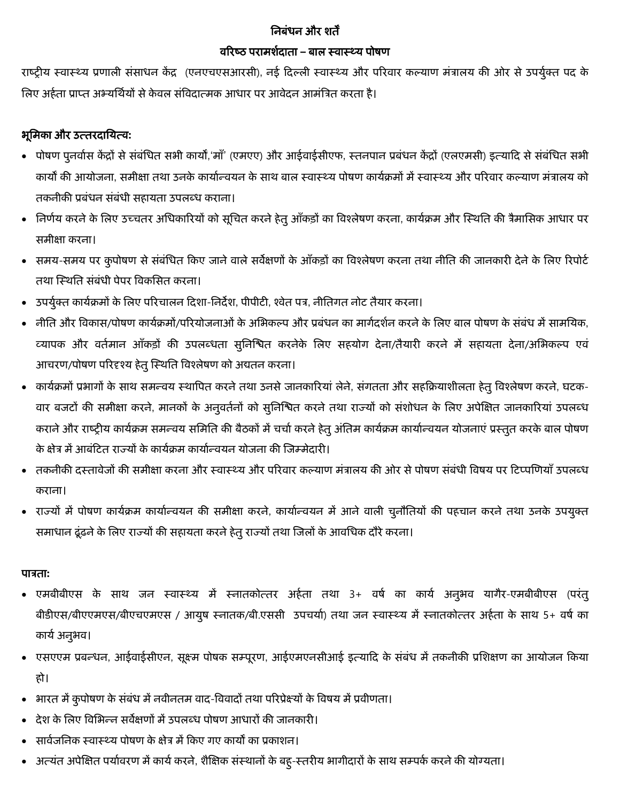## निबंधन और शर्तें

#### वररष्ठ परामशशदार्ता **–** बाल स्वास््य पोषण

राष्ट्रीय स्वास्थ्य प्रणाली संसाधन केंद्र (एनएचएसआरसी), नई दिल्ली स्वास्थ्य और परिवार कल्याण मंत्रालय की ओर से उपर्युक्त पद के लिए अर्हता प्राप्त अभ्यर्थियों से केवल संविदात्मक आधार पर आवेदन आमंत्रित करता है।

# भूनमका और उत्र्तरदानयत्व**:**

- पोषण पुनर्वास केंद्रों से संबंधित सभी कार्यों,'माँ' (एमएए) और आईवाईसीएफ, स्तनपान प्रबंधन केंद्रों (एलएमसी) इत्यादि से संबंधित सभी कार्यों की आयोजना, समीक्षा तथा उनके कार्यान्वयन के साथ बाल स्वास्थ्य पोषण कार्यक्रमों में स्वास्थ्य और परिवार कल्याण मंत्रालय को तकनीकी प्रबंधन संबंधी सहायता उपलब्ध कराना।
- निर्णय करने के लिए उच्चतर अधिकारियों को सूचित करने हेतु आँकड़ों का विश्लेषण करना, कार्यक्रम और स्थिति की त्रैमासिक आधार पर समीक्षा करना।
- समय-समय पर कुपोषण से संबंधित किए जाने वाले सर्वेक्षणों के आँकड़ों का विश्लेषण करना तथा नीति की जानकारी देने के लिए रिपोर्ट तथा स्थिति संबंधी पेपर विकसित करना।
- उपर्युक्त कार्यक्रमों के लिए परिचालन दिशा-निर्देश, पीपीटी, श्वेत पत्र, नीतिगत नोट तैयार करना।
- नीति और विकास/पोषण कार्यक्रमों/परियोजनाओं के अभिकल्प और प्रबंधन का मार्गदर्शन करने के लिए बाल पोषण के संबंध में सामयिक, व्यापक और वर्तमान आँकड़ों की उपलब्धता सुनिश्चित करनेके लिए सहयोग देना/तैयारी करने में सहायता देना/अभिकल्प एवं आचरण/पोषण परिदृश्य हेतु स्थिति विश्लेषण को अद्यतन करना।
- कार्यक्रमों प्रभागों के साथ समन्वय स्थापित करने तथा उनसे जानकारियां लेने, संगतता और सहक्रियाशीलता हेतु विश्लेषण करने, घटक-वार बजटों की समीक्षा करने, मानकों के अनुवर्तनों को सुनिश्चित करने तथा राज्यों को संशोधन के लिए अपेक्षित जानकारियां उपलब्ध कराने और राष्ट्रीय कार्यक्रम समन्वय समिति की बैठकों में चर्चा करने हेतु अंतिम कार्यक्रम कार्यान्वयन योजनाएं प्रस्तुत करके बाल पोषण के क्षेत्र में आबंदित राज्यों के कार्यक्रम कार्यान्वयन योजना की जिम्मेदारी।
- तकनीकी दस्तावेजों की समीक्षा करना और स्वास्थ्य और परिवार कल्याण मंत्रालय की ओर से पोषण संबंधी विषय पर टिप्पणियाँ उपलब्ध कराना।
- राज्यों में पोषण कार्यक्रम कार्यान्वयन की समीक्षा करने, कार्यान्वयन में आने वाली चुनौतियों की पहचान करने तथा उनके उपयुक्त समाधान ढूंढ़ने के लिए राज्यों की सहायता करने हेतु राज्यों तथा जिलों के आवधिक दौरे करना।

### पात्रर्ता**:**

- एमबीबीएस के साथ जन स्वास्थ्य में स्नातकोत्तर अर्हता तथा 3+ वर्ष का कार्य अनुभव यागैर-एमबीबीएस (परंतु बीडीएस/बीएएमएस/बीएचएमएस / आयुष स्नातक/बी.एससी उपचर्या) तथा जन स्वास्थ्य में स्नातकोत्तर अर्हता के साथ 5+ वर्ष का कार्य अनुभव।
- एसएएम प्रबन्धन, आईवाईसीएन, सूक्ष्म पोषक सम्पूरण, आईएमएनसीआई इत्यादि के संबंध में तकनीकी प्रशिक्षण का आयोजन किया र्ो।
- भारत में कुपोषण के संबंध में नवीनतम वाद-विवादों तथा परिप्रेक्ष्यों के विषय में प्रवीणता।
- देश के लिए विभिन्न सर्वेक्षणों में उपलब्ध पोषण आधारों की जानकारी।
- सार्वजनिक स्वास्थ्य पोषण के क्षेत्र में किए गए कार्यों का प्रकाशन।
- अत्यंत अपेक्षित पर्यावरण में कार्य करने, शैक्षिक संस्थानों के बहु-स्तरीय भागीदारों के साथ सम्पर्क करने की योग्यता।